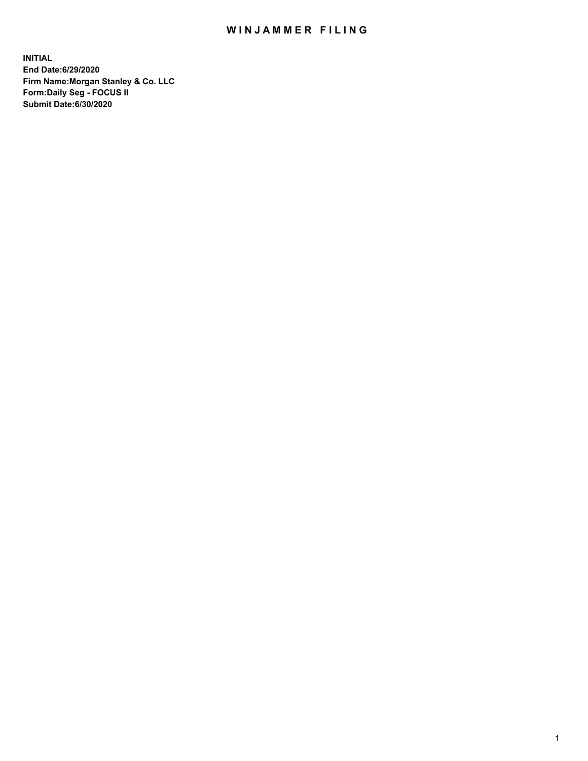## WIN JAMMER FILING

**INITIAL End Date:6/29/2020 Firm Name:Morgan Stanley & Co. LLC Form:Daily Seg - FOCUS II Submit Date:6/30/2020**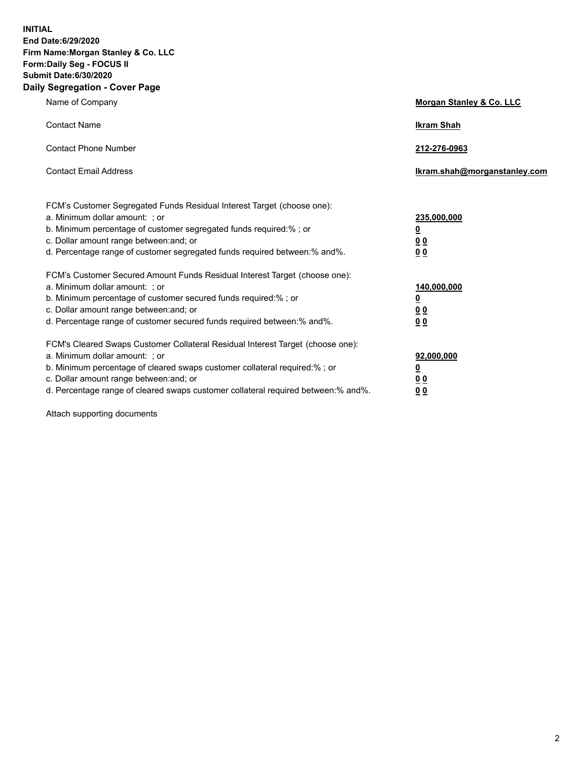**INITIAL End Date:6/29/2020 Firm Name:Morgan Stanley & Co. LLC Form:Daily Seg - FOCUS II Submit Date:6/30/2020 Daily Segregation - Cover Page**

| Name of Company                                                                                                                                                                                                                                                                                                                | Morgan Stanley & Co. LLC                                |
|--------------------------------------------------------------------------------------------------------------------------------------------------------------------------------------------------------------------------------------------------------------------------------------------------------------------------------|---------------------------------------------------------|
| <b>Contact Name</b>                                                                                                                                                                                                                                                                                                            | <b>Ikram Shah</b>                                       |
| <b>Contact Phone Number</b>                                                                                                                                                                                                                                                                                                    | 212-276-0963                                            |
| <b>Contact Email Address</b>                                                                                                                                                                                                                                                                                                   | Ikram.shah@morganstanley.com                            |
| FCM's Customer Segregated Funds Residual Interest Target (choose one):<br>a. Minimum dollar amount: ; or<br>b. Minimum percentage of customer segregated funds required:% ; or<br>c. Dollar amount range between: and; or<br>d. Percentage range of customer segregated funds required between:% and%.                         | 235,000,000<br><u>0</u><br><u>00</u><br><u>00</u>       |
| FCM's Customer Secured Amount Funds Residual Interest Target (choose one):<br>a. Minimum dollar amount: ; or<br>b. Minimum percentage of customer secured funds required:%; or<br>c. Dollar amount range between: and; or<br>d. Percentage range of customer secured funds required between:% and%.                            | 140,000,000<br><u>0</u><br><u>0 0</u><br>0 <sub>0</sub> |
| FCM's Cleared Swaps Customer Collateral Residual Interest Target (choose one):<br>a. Minimum dollar amount: ; or<br>b. Minimum percentage of cleared swaps customer collateral required:% ; or<br>c. Dollar amount range between: and; or<br>d. Percentage range of cleared swaps customer collateral required between:% and%. | 92,000,000<br><u>0</u><br><u>00</u><br>00               |

Attach supporting documents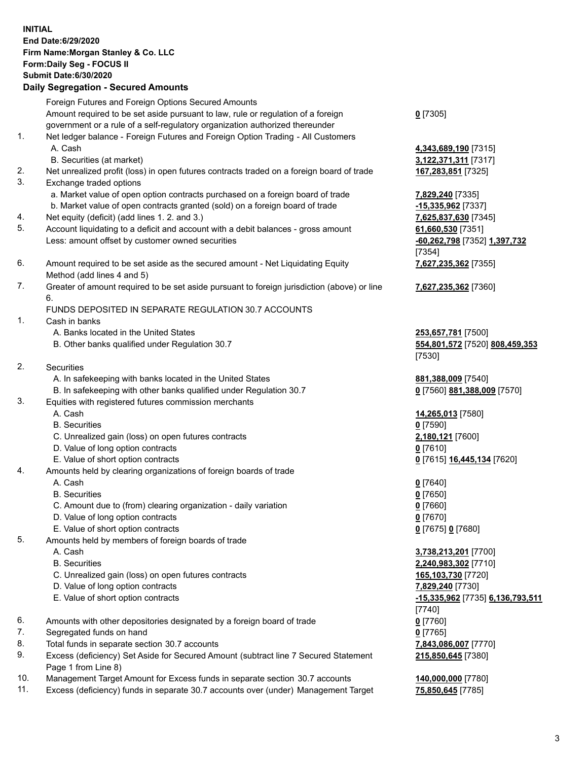## **INITIAL End Date:6/29/2020 Firm Name:Morgan Stanley & Co. LLC Form:Daily Seg - FOCUS II Submit Date:6/30/2020 Daily Segregation - Secured Amounts** Foreign Futures and Foreign Options Secured Amounts Amount required to be set aside pursuant to law, rule or regulation of a foreign government or a rule of a self-regulatory organization authorized thereunder **0** [7305] 1. Net ledger balance - Foreign Futures and Foreign Option Trading - All Customers A. Cash **4,343,689,190** [7315] B. Securities (at market) **3,122,371,311** [7317] 2. Net unrealized profit (loss) in open futures contracts traded on a foreign board of trade **167,283,851** [7325] 3. Exchange traded options a. Market value of open option contracts purchased on a foreign board of trade **7,829,240** [7335] b. Market value of open contracts granted (sold) on a foreign board of trade **-15,335,962** [7337] 4. Net equity (deficit) (add lines 1. 2. and 3.) **7,625,837,630** [7345] 5. Account liquidating to a deficit and account with a debit balances - gross amount **61,660,530** [7351] Less: amount offset by customer owned securities **-60,262,798** [7352] **1,397,732** [7354] 6. Amount required to be set aside as the secured amount - Net Liquidating Equity Method (add lines 4 and 5) **7,627,235,362** [7355] 7. Greater of amount required to be set aside pursuant to foreign jurisdiction (above) or line 6. **7,627,235,362** [7360] FUNDS DEPOSITED IN SEPARATE REGULATION 30.7 ACCOUNTS 1. Cash in banks A. Banks located in the United States **253,657,781** [7500] B. Other banks qualified under Regulation 30.7 **554,801,572** [7520] **808,459,353** [7530] 2. Securities A. In safekeeping with banks located in the United States **881,388,009** [7540] B. In safekeeping with other banks qualified under Regulation 30.7 **0** [7560] **881,388,009** [7570] 3. Equities with registered futures commission merchants A. Cash **14,265,013** [7580] B. Securities **0** [7590] C. Unrealized gain (loss) on open futures contracts **2,180,121** [7600] D. Value of long option contracts **0** [7610] E. Value of short option contracts **0** [7615] **16,445,134** [7620] 4. Amounts held by clearing organizations of foreign boards of trade A. Cash **0** [7640] B. Securities **0** [7650] C. Amount due to (from) clearing organization - daily variation **0** [7660] D. Value of long option contracts **0** [7670] E. Value of short option contracts **0** [7675] **0** [7680] 5. Amounts held by members of foreign boards of trade A. Cash **3,738,213,201** [7700] B. Securities **2,240,983,302** [7710] C. Unrealized gain (loss) on open futures contracts **165,103,730** [7720] D. Value of long option contracts **7,829,240** [7730] E. Value of short option contracts **-15,335,962** [7735] **6,136,793,511** [7740] 6. Amounts with other depositories designated by a foreign board of trade **0** [7760] 7. Segregated funds on hand **0** [7765] 8. Total funds in separate section 30.7 accounts **7,843,086,007** [7770] 9. Excess (deficiency) Set Aside for Secured Amount (subtract line 7 Secured Statement Page 1 from Line 8) **215,850,645** [7380]

- 10. Management Target Amount for Excess funds in separate section 30.7 accounts **140,000,000** [7780]
- 11. Excess (deficiency) funds in separate 30.7 accounts over (under) Management Target **75,850,645** [7785]

3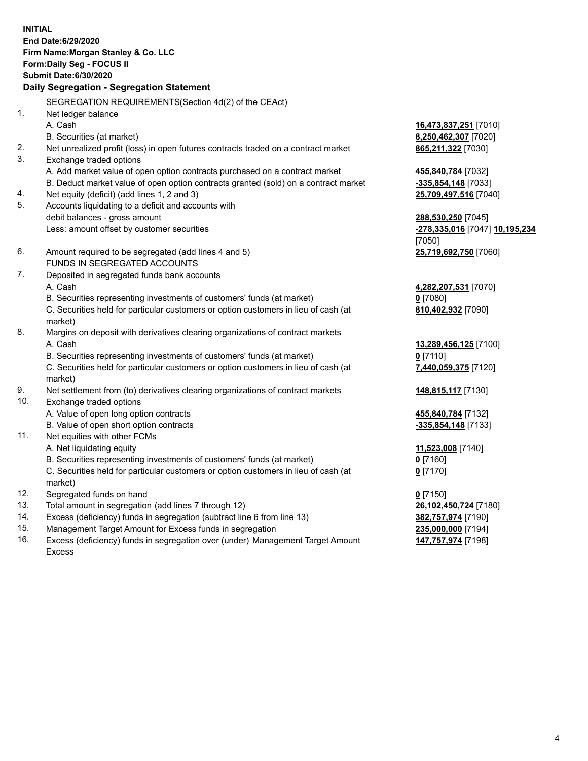**INITIAL End Date:6/29/2020 Firm Name:Morgan Stanley & Co. LLC Form:Daily Seg - FOCUS II Submit Date:6/30/2020 Daily Segregation - Segregation Statement** SEGREGATION REQUIREMENTS(Section 4d(2) of the CEAct) 1. Net ledger balance A. Cash **16,473,837,251** [7010] B. Securities (at market) **8,250,462,307** [7020] 2. Net unrealized profit (loss) in open futures contracts traded on a contract market **865,211,322** [7030] 3. Exchange traded options A. Add market value of open option contracts purchased on a contract market **455,840,784** [7032] B. Deduct market value of open option contracts granted (sold) on a contract market **-335,854,148** [7033] 4. Net equity (deficit) (add lines 1, 2 and 3) **25,709,497,516** [7040] 5. Accounts liquidating to a deficit and accounts with debit balances - gross amount **288,530,250** [7045] Less: amount offset by customer securities **-278,335,016** [7047] **10,195,234** [7050] 6. Amount required to be segregated (add lines 4 and 5) **25,719,692,750** [7060] FUNDS IN SEGREGATED ACCOUNTS 7. Deposited in segregated funds bank accounts A. Cash **4,282,207,531** [7070] B. Securities representing investments of customers' funds (at market) **0** [7080] C. Securities held for particular customers or option customers in lieu of cash (at market) **810,402,932** [7090] 8. Margins on deposit with derivatives clearing organizations of contract markets A. Cash **13,289,456,125** [7100] B. Securities representing investments of customers' funds (at market) **0** [7110] C. Securities held for particular customers or option customers in lieu of cash (at market) **7,440,059,375** [7120] 9. Net settlement from (to) derivatives clearing organizations of contract markets **148,815,117** [7130] 10. Exchange traded options A. Value of open long option contracts **455,840,784** [7132] B. Value of open short option contracts **-335,854,148** [7133] 11. Net equities with other FCMs A. Net liquidating equity **11,523,008** [7140] B. Securities representing investments of customers' funds (at market) **0** [7160] C. Securities held for particular customers or option customers in lieu of cash (at market) **0** [7170] 12. Segregated funds on hand **0** [7150] 13. Total amount in segregation (add lines 7 through 12) **26,102,450,724** [7180] 14. Excess (deficiency) funds in segregation (subtract line 6 from line 13) **382,757,974** [7190] 15. Management Target Amount for Excess funds in segregation **235,000,000** [7194]

- 16. Excess (deficiency) funds in segregation over (under) Management Target Amount
	- Excess

**147,757,974** [7198]